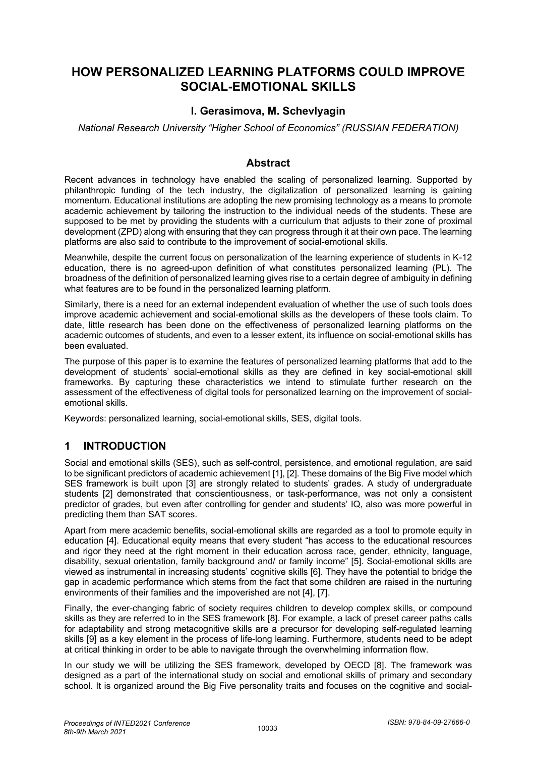# **HOW PERSONALIZED LEARNING PLATFORMS COULD IMPROVE SOCIAL-EMOTIONAL SKILLS**

#### **I. Gerasimova, M. Schevlyagin**

*National Research University "Higher School of Economics" (RUSSIAN FEDERATION)*

#### **Abstract**

Recent advances in technology have enabled the scaling of personalized learning. Supported by philanthropic funding of the tech industry, the digitalization of personalized learning is gaining momentum. Educational institutions are adopting the new promising technology as a means to promote academic achievement by tailoring the instruction to the individual needs of the students. These are supposed to be met by providing the students with a curriculum that adjusts to their zone of proximal development (ZPD) along with ensuring that they can progress through it at their own pace. The learning platforms are also said to contribute to the improvement of social-emotional skills.

Meanwhile, despite the current focus on personalization of the learning experience of students in K-12 education, there is no agreed-upon definition of what constitutes personalized learning (PL). The broadness of the definition of personalized learning gives rise to a certain degree of ambiguity in defining what features are to be found in the personalized learning platform.

Similarly, there is a need for an external independent evaluation of whether the use of such tools does improve academic achievement and social-emotional skills as the developers of these tools claim. To date, little research has been done on the effectiveness of personalized learning platforms on the academic outcomes of students, and even to a lesser extent, its influence on social-emotional skills has been evaluated.

The purpose of this paper is to examine the features of personalized learning platforms that add to the development of students' social-emotional skills as they are defined in key social-emotional skill frameworks. By capturing these characteristics we intend to stimulate further research on the assessment of the effectiveness of digital tools for personalized learning on the improvement of socialemotional skills.

Keywords: personalized learning, social-emotional skills, SES, digital tools.

## **1 INTRODUCTION**

Social and emotional skills (SES), such as self-control, persistence, and emotional regulation, are said to be significant predictors of academic achievement [1], [2]. These domains of the Big Five model which SES framework is built upon [3] are strongly related to students' grades. A study of undergraduate students [2] demonstrated that conscientiousness, or task-performance, was not only a consistent predictor of grades, but even after controlling for gender and students' IQ, also was more powerful in predicting them than SAT scores.

Apart from mere academic benefits, social-emotional skills are regarded as a tool to promote equity in education [4]. Educational equity means that every student "has access to the educational resources and rigor they need at the right moment in their education across race, gender, ethnicity, language, disability, sexual orientation, family background and/ or family income" [5]. Social-emotional skills are viewed as instrumental in increasing students' cognitive skills [6]. They have the potential to bridge the gap in academic performance which stems from the fact that some children are raised in the nurturing environments of their families and the impoverished are not [4], [7].

Finally, the ever-changing fabric of society requires children to develop complex skills, or compound skills as they are referred to in the SES framework [8]. For example, a lack of preset career paths calls for adaptability and strong metacognitive skills are a precursor for developing self-regulated learning skills [9] as a key element in the process of life-long learning. Furthermore, students need to be adept at critical thinking in order to be able to navigate through the overwhelming information flow.

In our study we will be utilizing the SES framework, developed by OECD [8]. The framework was designed as a part of the international study on social and emotional skills of primary and secondary school. It is organized around the Big Five personality traits and focuses on the cognitive and social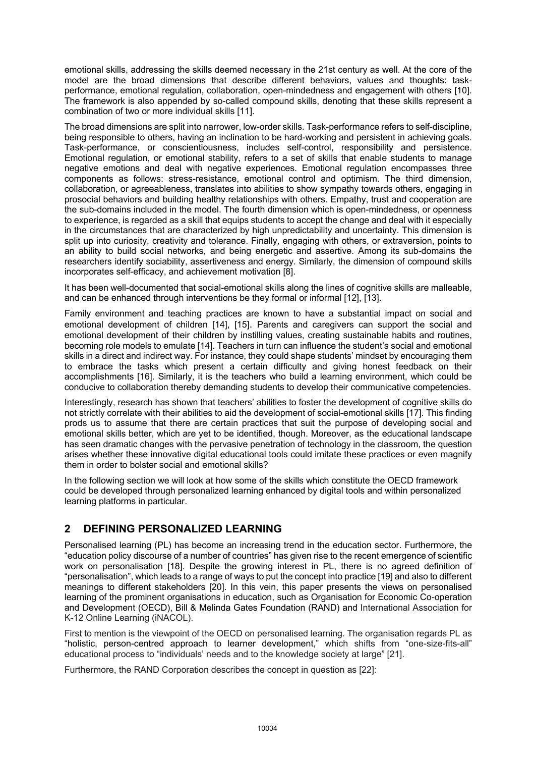emotional skills, addressing the skills deemed necessary in the 21st century as well. At the core of the model are the broad dimensions that describe different behaviors, values and thoughts: taskperformance, emotional regulation, collaboration, open-mindedness and engagement with others [10]. The framework is also appended by so-called compound skills, denoting that these skills represent a combination of two or more individual skills [11].

The broad dimensions are split into narrower, low-order skills. Task-performance refers to self-discipline, being responsible to others, having an inclination to be hard-working and persistent in achieving goals. Task-performance, or conscientiousness, includes self-control, responsibility and persistence. Emotional regulation, or emotional stability, refers to a set of skills that enable students to manage negative emotions and deal with negative experiences. Emotional regulation encompasses three components as follows: stress-resistance, emotional control and optimism. The third dimension, collaboration, or agreeableness, translates into abilities to show sympathy towards others, engaging in prosocial behaviors and building healthy relationships with others. Empathy, trust and cooperation are the sub-domains included in the model. The fourth dimension which is open-mindedness, or openness to experience, is regarded as a skill that equips students to accept the change and deal with it especially in the circumstances that are characterized by high unpredictability and uncertainty. This dimension is split up into curiosity, creativity and tolerance. Finally, engaging with others, or extraversion, points to an ability to build social networks, and being energetic and assertive. Among its sub-domains the researchers identify sociability, assertiveness and energy. Similarly, the dimension of compound skills incorporates self-efficacy, and achievement motivation [8].

It has been well-documented that social-emotional skills along the lines of cognitive skills are malleable, and can be enhanced through interventions be they formal or informal [12], [13].

Family environment and teaching practices are known to have a substantial impact on social and emotional development of children [14], [15]. Parents and caregivers can support the social and emotional development of their children by instilling values, creating sustainable habits and routines, becoming role models to emulate [14]. Teachers in turn can influence the student's social and emotional skills in a direct and indirect way. For instance, they could shape students' mindset by encouraging them to embrace the tasks which present a certain difficulty and giving honest feedback on their accomplishments [16]. Similarly, it is the teachers who build a learning environment, which could be conducive to collaboration thereby demanding students to develop their communicative competencies.

Interestingly, research has shown that teachers' abilities to foster the development of cognitive skills do not strictly correlate with their abilities to aid the development of social-emotional skills [17]. This finding prods us to assume that there are certain practices that suit the purpose of developing social and emotional skills better, which are yet to be identified, though. Moreover, as the educational landscape has seen dramatic changes with the pervasive penetration of technology in the classroom, the question arises whether these innovative digital educational tools could imitate these practices or even magnify them in order to bolster social and emotional skills?

In the following section we will look at how some of the skills which constitute the OECD framework could be developed through personalized learning enhanced by digital tools and within personalized learning platforms in particular.

## **2 DEFINING PERSONALIZED LEARNING**

Personalised learning (PL) has become an increasing trend in the education sector. Furthermore, the "education policy discourse of a number of countries" has given rise to the recent emergence of scientific work on personalisation [18]. Despite the growing interest in PL, there is no agreed definition of "personalisation", which leads to a range of ways to put the concept into practice [19] and also to different meanings to different stakeholders [20]. In this vein, this paper presents the views on personalised learning of the prominent organisations in education, such as Organisation for Economic Co-operation and Development (OECD), Bill & Melinda Gates Foundation (RAND) and International Association for K-12 Online Learning (iNACOL).

First to mention is the viewpoint of the OECD on personalised learning. The organisation regards PL as "holistic, person-centred approach to learner development," which shifts from "one-size-fits-all" educational process to "individuals' needs and to the knowledge society at large" [21].

Furthermore, the RAND Corporation describes the concept in question as [22]: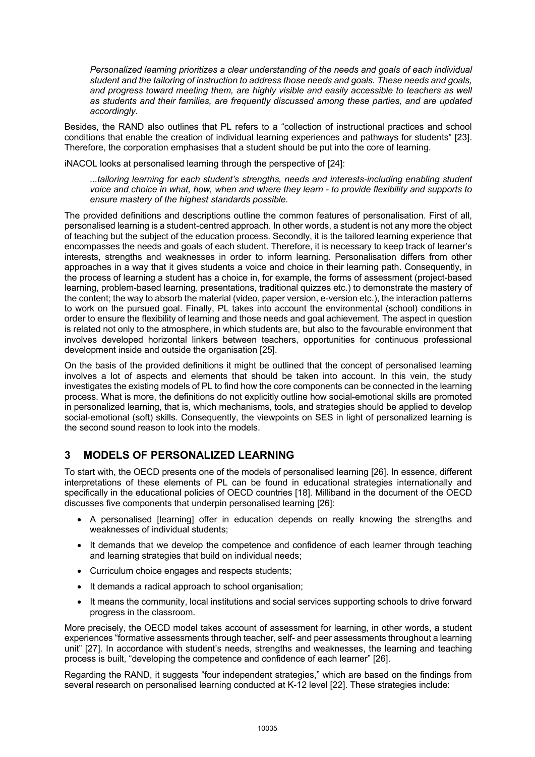*Personalized learning prioritizes a clear understanding of the needs and goals of each individual student and the tailoring of instruction to address those needs and goals. These needs and goals, and progress toward meeting them, are highly visible and easily accessible to teachers as well as students and their families, are frequently discussed among these parties, and are updated accordingly.* 

Besides, the RAND also outlines that PL refers to a "collection of instructional practices and school conditions that enable the creation of individual learning experiences and pathways for students" [23]. Therefore, the corporation emphasises that a student should be put into the core of learning.

iNACOL looks at personalised learning through the perspective of [24]:

*...tailoring learning for each student's strengths, needs and interests-including enabling student voice and choice in what, how, when and where they learn - to provide flexibility and supports to ensure mastery of the highest standards possible.* 

The provided definitions and descriptions outline the common features of personalisation. First of all, personalised learning is a student-centred approach. In other words, a student is not any more the object of teaching but the subject of the education process. Secondly, it is the tailored learning experience that encompasses the needs and goals of each student. Therefore, it is necessary to keep track of learner's interests, strengths and weaknesses in order to inform learning. Personalisation differs from other approaches in a way that it gives students a voice and choice in their learning path. Consequently, in the process of learning a student has a choice in, for example, the forms of assessment (project-based learning, problem-based learning, presentations, traditional quizzes etc.) to demonstrate the mastery of the content; the way to absorb the material (video, paper version, e-version etc.), the interaction patterns to work on the pursued goal. Finally, PL takes into account the environmental (school) conditions in order to ensure the flexibility of learning and those needs and goal achievement. The aspect in question is related not only to the atmosphere, in which students are, but also to the favourable environment that involves developed horizontal linkers between teachers, opportunities for continuous professional development inside and outside the organisation [25].

On the basis of the provided definitions it might be outlined that the concept of personalised learning involves a lot of aspects and elements that should be taken into account. In this vein, the study investigates the existing models of PL to find how the core components can be connected in the learning process. What is more, the definitions do not explicitly outline how social-emotional skills are promoted in personalized learning, that is, which mechanisms, tools, and strategies should be applied to develop social-emotional (soft) skills. Consequently, the viewpoints on SES in light of personalized learning is the second sound reason to look into the models.

# **3 MODELS OF PERSONALIZED LEARNING**

To start with, the OECD presents one of the models of personalised learning [26]. In essence, different interpretations of these elements of PL can be found in educational strategies internationally and specifically in the educational policies of OECD countries [18]. Milliband in the document of the OECD discusses five components that underpin personalised learning [26]:

- A personalised [learning] offer in education depends on really knowing the strengths and weaknesses of individual students;
- It demands that we develop the competence and confidence of each learner through teaching and learning strategies that build on individual needs;
- Curriculum choice engages and respects students;
- It demands a radical approach to school organisation;
- It means the community, local institutions and social services supporting schools to drive forward progress in the classroom.

More precisely, the OECD model takes account of assessment for learning, in other words, a student experiences "formative assessments through teacher, self- and peer assessments throughout a learning unit" [27]. In accordance with student's needs, strengths and weaknesses, the learning and teaching process is built, "developing the competence and confidence of each learner" [26].

Regarding the RAND, it suggests "four independent strategies," which are based on the findings from several research on personalised learning conducted at K-12 level [22]. These strategies include: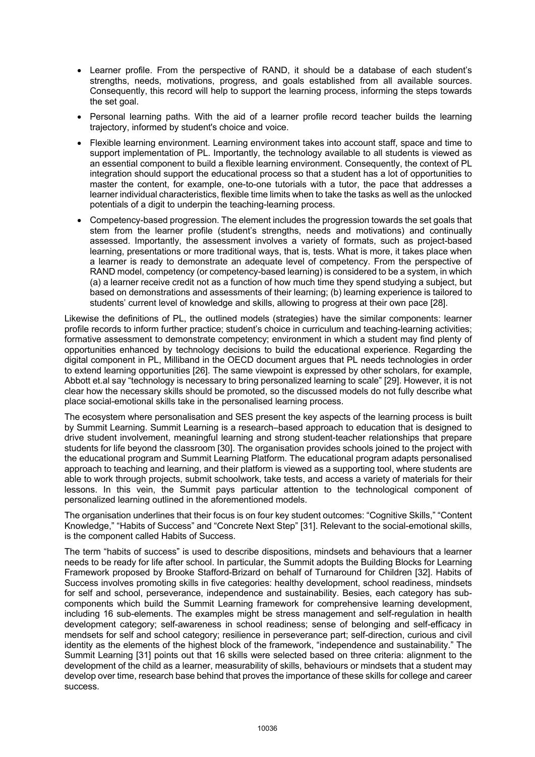- Learner profile. From the perspective of RAND, it should be a database of each student's strengths, needs, motivations, progress, and goals established from all available sources. Consequently, this record will help to support the learning process, informing the steps towards the set goal.
- Personal learning paths. With the aid of a learner profile record teacher builds the learning trajectory, informed by student's choice and voice.
- Flexible learning environment. Learning environment takes into account staff, space and time to support implementation of PL. Importantly, the technology available to all students is viewed as an essential component to build a flexible learning environment. Consequently, the context of PL integration should support the educational process so that a student has a lot of opportunities to master the content, for example, one-to-one tutorials with a tutor, the pace that addresses a learner individual characteristics, flexible time limits when to take the tasks as well as the unlocked potentials of a digit to underpin the teaching-learning process.
- Competency-based progression. The element includes the progression towards the set goals that stem from the learner profile (student's strengths, needs and motivations) and continually assessed. Importantly, the assessment involves a variety of formats, such as project-based learning, presentations or more traditional ways, that is, tests. What is more, it takes place when a learner is ready to demonstrate an adequate level of competency. From the perspective of RAND model, competency (or competency-based learning) is considered to be a system, in which (a) a learner receive credit not as a function of how much time they spend studying a subject, but based on demonstrations and assessments of their learning; (b) learning experience is tailored to students' current level of knowledge and skills, allowing to progress at their own pace [28].

Likewise the definitions of PL, the outlined models (strategies) have the similar components: learner profile records to inform further practice; student's choice in curriculum and teaching-learning activities; formative assessment to demonstrate competency; environment in which a student may find plenty of opportunities enhanced by technology decisions to build the educational experience. Regarding the digital component in PL, Milliband in the OECD document argues that PL needs technologies in order to extend learning opportunities [26]. The same viewpoint is expressed by other scholars, for example, Abbott et.al say "technology is necessary to bring personalized learning to scale" [29]. However, it is not clear how the necessary skills should be promoted, so the discussed models do not fully describe what place social-emotional skills take in the personalised learning process.

The ecosystem where personalisation and SES present the key aspects of the learning process is built by Summit Learning. Summit Learning is a research–based approach to education that is designed to drive student involvement, meaningful learning and strong student-teacher relationships that prepare students for life beyond the classroom [30]. The organisation provides schools joined to the project with the educational program and Summit Learning Platform. The educational program adapts personalised approach to teaching and learning, and their platform is viewed as a supporting tool, where students are able to work through projects, submit schoolwork, take tests, and access a variety of materials for their lessons. In this vein, the Summit pays particular attention to the technological component of personalized learning outlined in the aforementioned models.

The organisation underlines that their focus is on four key student outcomes: "Cognitive Skills," "Content Knowledge," "Habits of Success" and "Concrete Next Step" [31]. Relevant to the social-emotional skills, is the component called Habits of Success.

The term "habits of success" is used to describe dispositions, mindsets and behaviours that a learner needs to be ready for life after school. In particular, the Summit adopts the Building Blocks for Learning Framework proposed by Brooke Stafford-Brizard on behalf of Turnaround for Children [32]. Habits of Success involves promoting skills in five categories: healthy development, school readiness, mindsets for self and school, perseverance, independence and sustainability. Besies, each category has subcomponents which build the Summit Learning framework for comprehensive learning development, including 16 sub-elements. The examples might be stress management and self-regulation in health development category; self-awareness in school readiness; sense of belonging and self-efficacy in mendsets for self and school category; resilience in perseverance part; self-direction, curious and civil identity as the elements of the highest block of the framework, "independence and sustainability." The Summit Learning [31] points out that 16 skills were selected based on three criteria: alignment to the development of the child as a learner, measurability of skills, behaviours or mindsets that a student may develop over time, research base behind that proves the importance of these skills for college and career success.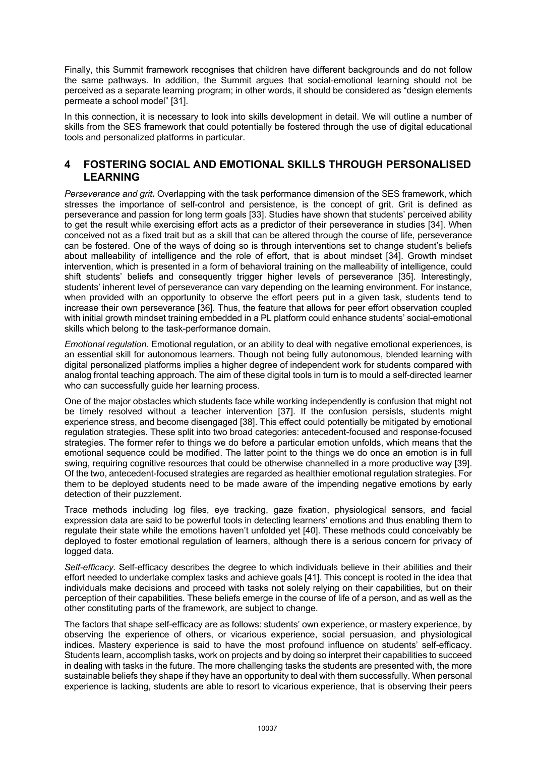Finally, this Summit framework recognises that children have different backgrounds and do not follow the same pathways. In addition, the Summit argues that social-emotional learning should not be perceived as a separate learning program; in other words, it should be considered as "design elements permeate a school model" [31].

In this connection, it is necessary to look into skills development in detail. We will outline a number of skills from the SES framework that could potentially be fostered through the use of digital educational tools and personalized platforms in particular.

#### **4 FOSTERING SOCIAL AND EMOTIONAL SKILLS THROUGH PERSONALISED LEARNING**

*Perseverance and grit***.** Overlapping with the task performance dimension of the SES framework, which stresses the importance of self-control and persistence, is the concept of grit. Grit is defined as perseverance and passion for long term goals [33]. Studies have shown that students' perceived ability to get the result while exercising effort acts as a predictor of their perseverance in studies [34]. When conceived not as a fixed trait but as a skill that can be altered through the course of life, perseverance can be fostered. One of the ways of doing so is through interventions set to change student's beliefs about malleability of intelligence and the role of effort, that is about mindset [34]. Growth mindset intervention, which is presented in a form of behavioral training on the malleability of intelligence, could shift students' beliefs and consequently trigger higher levels of perseverance [35]. Interestingly, students' inherent level of perseverance can vary depending on the learning environment. For instance, when provided with an opportunity to observe the effort peers put in a given task, students tend to increase their own perseverance [36]. Thus, the feature that allows for peer effort observation coupled with initial growth mindset training embedded in a PL platform could enhance students' social-emotional skills which belong to the task-performance domain.

*Emotional regulation.* Emotional regulation, or an ability to deal with negative emotional experiences, is an essential skill for autonomous learners. Though not being fully autonomous, blended learning with digital personalized platforms implies a higher degree of independent work for students compared with analog frontal teaching approach. The aim of these digital tools in turn is to mould a self-directed learner who can successfully guide her learning process.

One of the major obstacles which students face while working independently is confusion that might not be timely resolved without a teacher intervention [37]. If the confusion persists, students might experience stress, and become disengaged [38]. This effect could potentially be mitigated by emotional regulation strategies. These split into two broad categories: antecedent-focused and response-focused strategies. The former refer to things we do before a particular emotion unfolds, which means that the emotional sequence could be modified. The latter point to the things we do once an emotion is in full swing, requiring cognitive resources that could be otherwise channelled in a more productive way [39]. Of the two, antecedent-focused strategies are regarded as healthier emotional regulation strategies. For them to be deployed students need to be made aware of the impending negative emotions by early detection of their puzzlement.

Trace methods including log files, eye tracking, gaze fixation, physiological sensors, and facial expression data are said to be powerful tools in detecting learners' emotions and thus enabling them to regulate their state while the emotions haven't unfolded yet [40]. These methods could conceivably be deployed to foster emotional regulation of learners, although there is a serious concern for privacy of logged data.

*Self-efficacy.* Self-efficacy describes the degree to which individuals believe in their abilities and their effort needed to undertake complex tasks and achieve goals [41]. This concept is rooted in the idea that individuals make decisions and proceed with tasks not solely relying on their capabilities, but on their perception of their capabilities. These beliefs emerge in the course of life of a person, and as well as the other constituting parts of the framework, are subject to change.

The factors that shape self-efficacy are as follows: students' own experience, or mastery experience, by observing the experience of others, or vicarious experience, social persuasion, and physiological indices. Mastery experience is said to have the most profound influence on students' self-efficacy. Students learn, accomplish tasks, work on projects and by doing so interpret their capabilities to succeed in dealing with tasks in the future. The more challenging tasks the students are presented with, the more sustainable beliefs they shape if they have an opportunity to deal with them successfully. When personal experience is lacking, students are able to resort to vicarious experience, that is observing their peers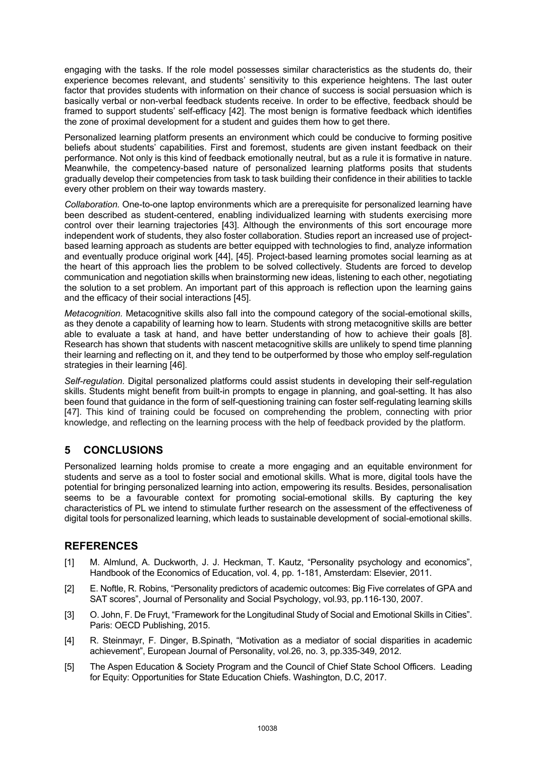engaging with the tasks. If the role model possesses similar characteristics as the students do, their experience becomes relevant, and students' sensitivity to this experience heightens. The last outer factor that provides students with information on their chance of success is social persuasion which is basically verbal or non-verbal feedback students receive. In order to be effective, feedback should be framed to support students' self-efficacy [42]. The most benign is formative feedback which identifies the zone of proximal development for a student and guides them how to get there.

Personalized learning platform presents an environment which could be conducive to forming positive beliefs about students' capabilities. First and foremost, students are given instant feedback on their performance. Not only is this kind of feedback emotionally neutral, but as a rule it is formative in nature. Meanwhile, the competency-based nature of personalized learning platforms posits that students gradually develop their competencies from task to task building their confidence in their abilities to tackle every other problem on their way towards mastery.

*Collaboration.* One-to-one laptop environments which are a prerequisite for personalized learning have been described as student-centered, enabling individualized learning with students exercising more control over their learning trajectories [43]. Although the environments of this sort encourage more independent work of students, they also foster collaboration. Studies report an increased use of projectbased learning approach as students are better equipped with technologies to find, analyze information and eventually produce original work [44], [45]. Project-based learning promotes social learning as at the heart of this approach lies the problem to be solved collectively. Students are forced to develop communication and negotiation skills when brainstorming new ideas, listening to each other, negotiating the solution to a set problem. An important part of this approach is reflection upon the learning gains and the efficacy of their social interactions [45].

*Metacognition.* Metacognitive skills also fall into the compound category of the social-emotional skills, as they denote a capability of learning how to learn. Students with strong metacognitive skills are better able to evaluate a task at hand, and have better understanding of how to achieve their goals [8]. Research has shown that students with nascent metacognitive skills are unlikely to spend time planning their learning and reflecting on it, and they tend to be outperformed by those who employ self-regulation strategies in their learning [46].

*Self-regulation.* Digital personalized platforms could assist students in developing their self-regulation skills. Students might benefit from built-in prompts to engage in planning, and goal-setting. It has also been found that guidance in the form of self-questioning training can foster self-regulating learning skills [47]. This kind of training could be focused on comprehending the problem, connecting with prior knowledge, and reflecting on the learning process with the help of feedback provided by the platform.

# **5 CONCLUSIONS**

Personalized learning holds promise to create a more engaging and an equitable environment for students and serve as a tool to foster social and emotional skills. What is more, digital tools have the potential for bringing personalized learning into action, empowering its results. Besides, personalisation seems to be a favourable context for promoting social-emotional skills. By capturing the key characteristics of PL we intend to stimulate further research on the assessment of the effectiveness of digital tools for personalized learning, which leads to sustainable development of social-emotional skills.

## **REFERENCES**

- [1] M. Almlund, A. Duckworth, J. J. Heckman, T. Kautz, "Personality psychology and economics", Handbook of the Economics of Education, vol. 4, pp. 1-181, Amsterdam: Elsevier, 2011.
- [2] E. Noftle, R. Robins, "Personality predictors of academic outcomes: Big Five correlates of GPA and SAT scores", Journal of Personality and Social Psychology, vol.93, pp.116-130, 2007.
- [3] O. John, F. De Fruyt, "Framework for the Longitudinal Study of Social and Emotional Skills in Cities". Paris: OECD Publishing, 2015.
- [4] R. Steinmayr, F. Dinger, B.Spinath, "Motivation as a mediator of social disparities in academic achievement", European Journal of Personality, vol.26, no. 3, pp.335-349, 2012.
- [5] The Aspen Education & Society Program and the Council of Chief State School Officers. Leading for Equity: Opportunities for State Education Chiefs. Washington, D.C, 2017.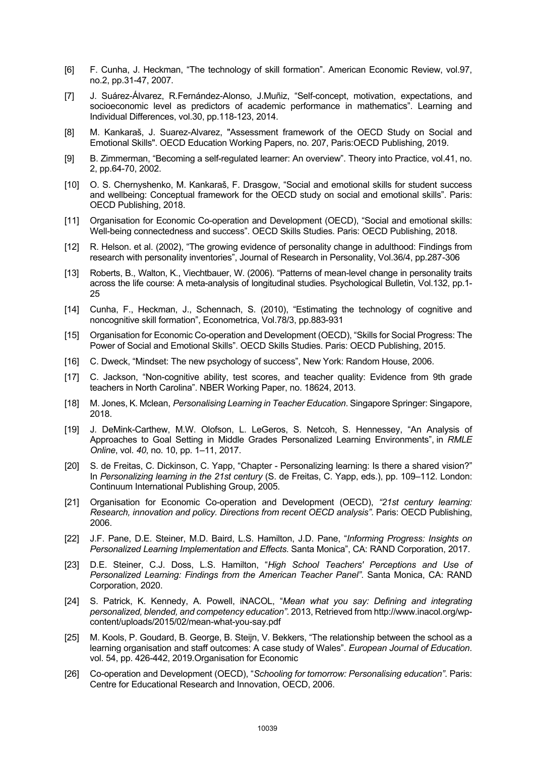- [6] F. Cunha, J. Heckman, "The technology of skill formation". American Economic Review, vol.97, no.2, pp.31-47, 2007.
- [7] J. Suárez-Álvarez, R.Fernández-Alonso, J.Muñiz, "Self-concept, motivation, expectations, and socioeconomic level as predictors of academic performance in mathematics". Learning and Individual Differences, vol.30, pp.118-123, 2014.
- [8] M. Kankaraš, J. Suarez-Alvarez, "Assessment framework of the OECD Study on Social and Emotional Skills". OECD Education Working Papers, no. 207, Paris:OECD Publishing, 2019.
- [9] B. Zimmerman, "Becoming a self-regulated learner: An overview". Theory into Practice, vol.41, no. 2, pp.64-70, 2002.
- [10] O. S. Chernyshenko, M. Kankaraš, F. Drasgow, "Social and emotional skills for student success and wellbeing: Conceptual framework for the OECD study on social and emotional skills". Paris: OECD Publishing, 2018.
- [11] Organisation for Economic Co-operation and Development (OECD), "Social and emotional skills: Well-being connectedness and success". OECD Skills Studies. Paris: OECD Publishing, 2018.
- [12] R. Helson. et al. (2002), "The growing evidence of personality change in adulthood: Findings from research with personality inventories", Journal of Research in Personality, Vol.36/4, pp.287-306
- [13] Roberts, B., Walton, K., Viechtbauer, W. (2006). "Patterns of mean-level change in personality traits across the life course: A meta-analysis of longitudinal studies. Psychological Bulletin, Vol.132, pp.1- 25
- [14] Cunha, F., Heckman, J., Schennach, S. (2010), "Estimating the technology of cognitive and noncognitive skill formation", Econometrica, Vol.78/3, pp.883-931
- [15] Organisation for Economic Co-operation and Development (OECD), "Skills for Social Progress: The Power of Social and Emotional Skills". OECD Skills Studies. Paris: OECD Publishing, 2015.
- [16] C. Dweck, "Mindset: The new psychology of success", New York: Random House, 2006.
- [17] C. Jackson, "Non-cognitive ability, test scores, and teacher quality: Evidence from 9th grade teachers in North Carolina". NBER Working Paper, no. 18624, 2013.
- [18] M. Jones, K. Mclean, *Personalising Learning in Teacher Education*. Singapore Springer: Singapore, 2018.
- [19] J. DeMink-Carthew, M.W. Olofson, L. LeGeros, S. Netcoh, S. Hennessey, "An Analysis of Approaches to Goal Setting in Middle Grades Personalized Learning Environments", in *RMLE Online*, vol. *40*, no. 10, pp. 1–11, 2017.
- [20] S. de Freitas, C. Dickinson, C. Yapp, "Chapter Personalizing learning: Is there a shared vision?" In *Personalizing learning in the 21st century* (S. de Freitas, C. Yapp, eds.), pp. 109–112. London: Continuum International Publishing Group, 2005.
- [21] Organisation for Economic Co-operation and Development (OECD), *"21st century learning: Research, innovation and policy. Directions from recent OECD analysis"*. Paris: OECD Publishing, 2006.
- [22] J.F. Pane, D.E. Steiner, M.D. Baird, L.S. Hamilton, J.D. Pane, "*Informing Progress: Insights on Personalized Learning Implementation and Effects*. Santa Monica", CA: RAND Corporation, 2017.
- [23] D.E. Steiner, C.J. Doss, L.S. Hamilton, "*High School Teachers' Perceptions and Use of Personalized Learning: Findings from the American Teacher Panel"*. Santa Monica, CA: RAND Corporation, 2020.
- [24] S. Patrick, K. Kennedy, A. Powell, iNACOL, "*Mean what you say: Defining and integrating personalized, blended, and competency education"*. 2013, Retrieved from http://www.inacol.org/wpcontent/uploads/2015/02/mean-what-you-say.pdf
- [25] M. Kools, P. Goudard, B. George, B. Steijn, V. Bekkers, "The relationship between the school as a learning organisation and staff outcomes: A case study of Wales". *European Journal of Education*. vol. 54, pp. 426-442, 2019.Organisation for Economic
- [26] Co-operation and Development (OECD), "*Schooling for tomorrow: Personalising education"*. Paris: Centre for Educational Research and Innovation, OECD, 2006.